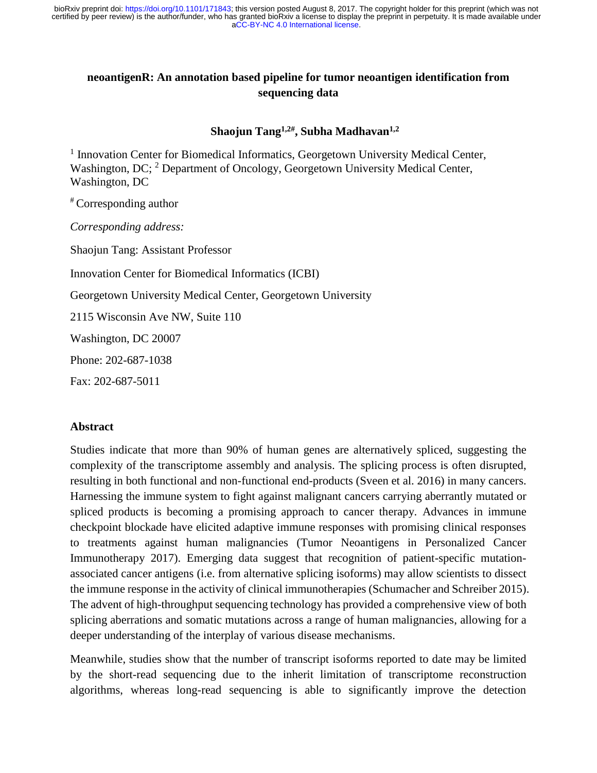# **neoantigenR: An annotation based pipeline for tumor neoantigen identification from sequencing data**

**Shaojun Tang1,2# , Subha Madhavan1,2**

<sup>1</sup> Innovation Center for Biomedical Informatics, Georgetown University Medical Center, Washington, DC; <sup>2</sup> Department of Oncology, Georgetown University Medical Center, Washington, DC

# Corresponding author

*Corresponding address:*

Shaojun Tang: Assistant Professor

Innovation Center for Biomedical Informatics (ICBI)

Georgetown University Medical Center, Georgetown University

2115 Wisconsin Ave NW, Suite 110

Washington, DC 20007

Phone: 202-687-1038

Fax: 202-687-5011

## **Abstract**

Studies indicate that more than 90% of human genes are alternatively spliced, suggesting the complexity of the transcriptome assembly and analysis. The splicing process is often disrupted, resulting in both functional and non-functional end-products (Sveen et al. 2016) in many cancers. Harnessing the immune system to fight against malignant cancers carrying aberrantly mutated or spliced products is becoming a promising approach to cancer therapy. Advances in immune checkpoint blockade have elicited adaptive immune responses with promising clinical responses to treatments against human malignancies (Tumor Neoantigens in Personalized Cancer Immunotherapy 2017). Emerging data suggest that recognition of patient-specific mutationassociated cancer antigens (i.e. from alternative splicing isoforms) may allow scientists to dissect the immune response in the activity of clinical immunotherapies (Schumacher and Schreiber 2015). The advent of high-throughput sequencing technology has provided a comprehensive view of both splicing aberrations and somatic mutations across a range of human malignancies, allowing for a deeper understanding of the interplay of various disease mechanisms.

Meanwhile, studies show that the number of transcript isoforms reported to date may be limited by the short-read sequencing due to the inherit limitation of transcriptome reconstruction algorithms, whereas long-read sequencing is able to significantly improve the detection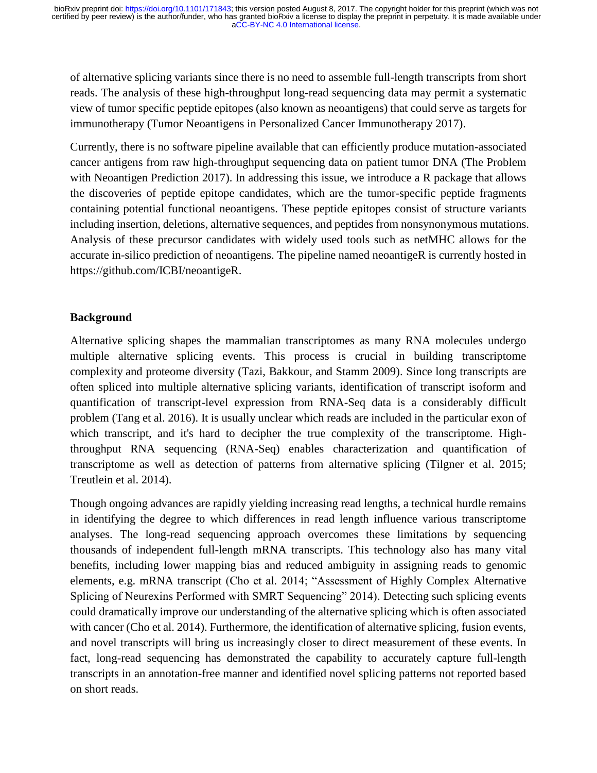of alternative splicing variants since there is no need to assemble full-length transcripts from short reads. The analysis of these high-throughput long-read sequencing data may permit a systematic view of tumor specific peptide epitopes (also known as neoantigens) that could serve as targets for immunotherapy (Tumor Neoantigens in Personalized Cancer Immunotherapy 2017).

Currently, there is no software pipeline available that can efficiently produce mutation-associated cancer antigens from raw high-throughput sequencing data on patient tumor DNA (The Problem with Neoantigen Prediction 2017). In addressing this issue, we introduce a R package that allows the discoveries of peptide epitope candidates, which are the tumor-specific peptide fragments containing potential functional neoantigens. These peptide epitopes consist of structure variants including insertion, deletions, alternative sequences, and peptides from nonsynonymous mutations. Analysis of these precursor candidates with widely used tools such as netMHC allows for the accurate in-silico prediction of neoantigens. The pipeline named neoantigeR is currently hosted in https://github.com/ICBI/neoantigeR.

# **Background**

Alternative splicing shapes the mammalian transcriptomes as many RNA molecules undergo multiple alternative splicing events. This process is crucial in building transcriptome complexity and proteome diversity (Tazi, Bakkour, and Stamm 2009). Since long transcripts are often spliced into multiple alternative splicing variants, identification of transcript isoform and quantification of transcript-level expression from RNA-Seq data is a considerably difficult problem (Tang et al. 2016). It is usually unclear which reads are included in the particular exon of which transcript, and it's hard to decipher the true complexity of the transcriptome. Highthroughput RNA sequencing (RNA-Seq) enables characterization and quantification of transcriptome as well as detection of patterns from alternative splicing (Tilgner et al. 2015; Treutlein et al. 2014).

Though ongoing advances are rapidly yielding increasing read lengths, a technical hurdle remains in identifying the degree to which differences in read length influence various transcriptome analyses. The long-read sequencing approach overcomes these limitations by sequencing thousands of independent full-length mRNA transcripts. This technology also has many vital benefits, including lower mapping bias and reduced ambiguity in assigning reads to genomic elements, e.g. mRNA transcript (Cho et al. 2014; "Assessment of Highly Complex Alternative Splicing of Neurexins Performed with SMRT Sequencing" 2014). Detecting such splicing events could dramatically improve our understanding of the alternative splicing which is often associated with cancer (Cho et al. 2014). Furthermore, the identification of alternative splicing, fusion events, and novel transcripts will bring us increasingly closer to direct measurement of these events. In fact, long-read sequencing has demonstrated the capability to accurately capture full-length transcripts in an annotation-free manner and identified novel splicing patterns not reported based on short reads.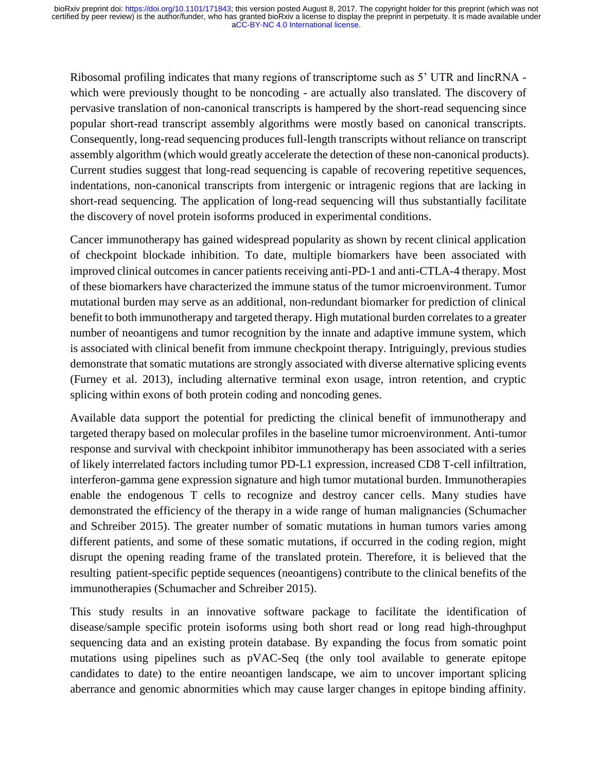Ribosomal profiling indicates that many regions of transcriptome such as 5' UTR and lincRNA which were previously thought to be noncoding - are actually also translated. The discovery of pervasive translation of non-canonical transcripts is hampered by the short-read sequencing since popular short-read transcript assembly algorithms were mostly based on canonical transcripts. Consequently, long-read sequencing produces full-length transcripts without reliance on transcript assembly algorithm (which would greatly accelerate the detection of these non-canonical products). Current studies suggest that long-read sequencing is capable of recovering repetitive sequences, indentations, non-canonical transcripts from intergenic or intragenic regions that are lacking in short-read sequencing. The application of long-read sequencing will thus substantially facilitate the discovery of novel protein isoforms produced in experimental conditions.

Cancer immunotherapy has gained widespread popularity as shown by recent clinical application of checkpoint blockade inhibition. To date, multiple biomarkers have been associated with improved clinical outcomes in cancer patients receiving anti-PD-1 and anti-CTLA-4 therapy. Most of these biomarkers have characterized the immune status of the tumor microenvironment. Tumor mutational burden may serve as an additional, non-redundant biomarker for prediction of clinical benefit to both immunotherapy and targeted therapy. High mutational burden correlates to a greater number of neoantigens and tumor recognition by the innate and adaptive immune system, which is associated with clinical benefit from immune checkpoint therapy. Intriguingly, previous studies demonstrate that somatic mutations are strongly associated with diverse alternative splicing events (Furney et al. 2013), including alternative terminal exon usage, intron retention, and cryptic splicing within exons of both protein coding and noncoding genes.

Available data support the potential for predicting the clinical benefit of immunotherapy and targeted therapy based on molecular profiles in the baseline tumor microenvironment. Anti-tumor response and survival with checkpoint inhibitor immunotherapy has been associated with a series of likely interrelated factors including tumor PD-L1 expression, increased CD8 T-cell infiltration, interferon-gamma gene expression signature and high tumor mutational burden. Immunotherapies enable the endogenous T cells to recognize and destroy cancer cells. Many studies have demonstrated the efficiency of the therapy in a wide range of human malignancies (Schumacher and Schreiber 2015). The greater number of somatic mutations in human tumors varies among different patients, and some of these somatic mutations, if occurred in the coding region, might disrupt the opening reading frame of the translated protein. Therefore, it is believed that the resulting patient-specific peptide sequences (neoantigens) contribute to the clinical benefits of the immunotherapies (Schumacher and Schreiber 2015).

This study results in an innovative software package to facilitate the identification of disease/sample specific protein isoforms using both short read or long read high-throughput sequencing data and an existing protein database. By expanding the focus from somatic point mutations using pipelines such as pVAC-Seq (the only tool available to generate epitope candidates to date) to the entire neoantigen landscape, we aim to uncover important splicing aberrance and genomic abnormities which may cause larger changes in epitope binding affinity.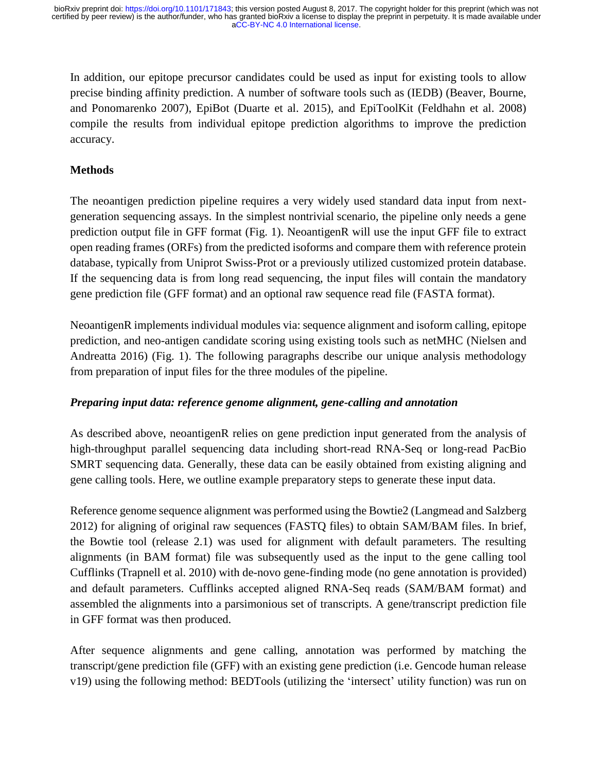In addition, our epitope precursor candidates could be used as input for existing tools to allow precise binding affinity prediction. A number of software tools such as (IEDB) (Beaver, Bourne, and Ponomarenko 2007), EpiBot (Duarte et al. 2015), and EpiToolKit (Feldhahn et al. 2008) compile the results from individual epitope prediction algorithms to improve the prediction accuracy.

# **Methods**

The neoantigen prediction pipeline requires a very widely used standard data input from nextgeneration sequencing assays. In the simplest nontrivial scenario, the pipeline only needs a gene prediction output file in GFF format (Fig. 1). NeoantigenR will use the input GFF file to extract open reading frames (ORFs) from the predicted isoforms and compare them with reference protein database, typically from Uniprot Swiss-Prot or a previously utilized customized protein database. If the sequencing data is from long read sequencing, the input files will contain the mandatory gene prediction file (GFF format) and an optional raw sequence read file (FASTA format).

NeoantigenR implements individual modules via: sequence alignment and isoform calling, epitope prediction, and neo-antigen candidate scoring using existing tools such as netMHC (Nielsen and Andreatta 2016) (Fig. 1). The following paragraphs describe our unique analysis methodology from preparation of input files for the three modules of the pipeline.

# *Preparing input data: reference genome alignment, gene-calling and annotation*

As described above, neoantigenR relies on gene prediction input generated from the analysis of high-throughput parallel sequencing data including short-read RNA-Seq or long-read PacBio SMRT sequencing data. Generally, these data can be easily obtained from existing aligning and gene calling tools. Here, we outline example preparatory steps to generate these input data.

Reference genome sequence alignment was performed using the Bowtie2 (Langmead and Salzberg 2012) for aligning of original raw sequences (FASTQ files) to obtain SAM/BAM files. In brief, the Bowtie tool (release 2.1) was used for alignment with default parameters. The resulting alignments (in BAM format) file was subsequently used as the input to the gene calling tool Cufflinks (Trapnell et al. 2010) with de-novo gene-finding mode (no gene annotation is provided) and default parameters. Cufflinks accepted aligned RNA-Seq reads (SAM/BAM format) and assembled the alignments into a parsimonious set of transcripts. A gene/transcript prediction file in GFF format was then produced.

After sequence alignments and gene calling, annotation was performed by matching the transcript/gene prediction file (GFF) with an existing gene prediction (i.e. Gencode human release v19) using the following method: BEDTools (utilizing the 'intersect' utility function) was run on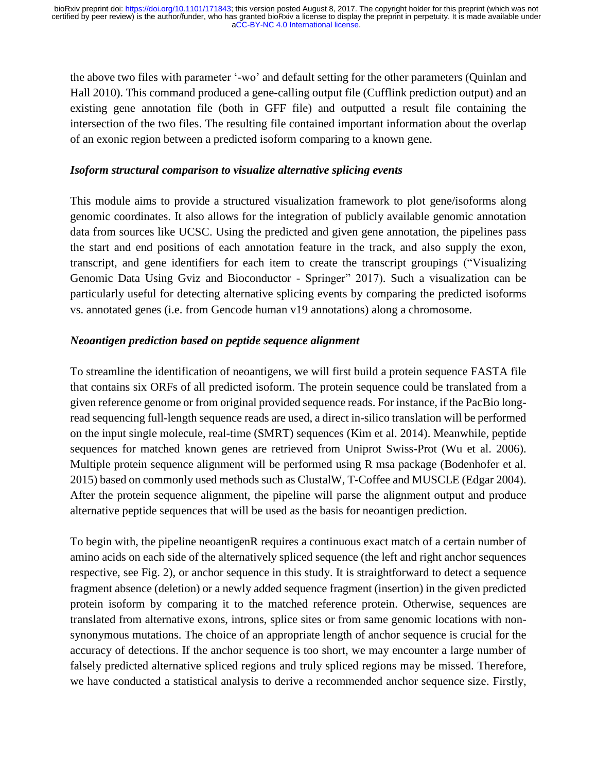the above two files with parameter '-wo' and default setting for the other parameters (Quinlan and Hall 2010). This command produced a gene-calling output file (Cufflink prediction output) and an existing gene annotation file (both in GFF file) and outputted a result file containing the intersection of the two files. The resulting file contained important information about the overlap of an exonic region between a predicted isoform comparing to a known gene.

## *Isoform structural comparison to visualize alternative splicing events*

This module aims to provide a structured visualization framework to plot gene/isoforms along genomic coordinates. It also allows for the integration of publicly available genomic annotation data from sources like UCSC. Using the predicted and given gene annotation, the pipelines pass the start and end positions of each annotation feature in the track, and also supply the exon, transcript, and gene identifiers for each item to create the transcript groupings ("Visualizing Genomic Data Using Gviz and Bioconductor - Springer" 2017). Such a visualization can be particularly useful for detecting alternative splicing events by comparing the predicted isoforms vs. annotated genes (i.e. from Gencode human v19 annotations) along a chromosome.

## *Neoantigen prediction based on peptide sequence alignment*

To streamline the identification of neoantigens, we will first build a protein sequence FASTA file that contains six ORFs of all predicted isoform. The protein sequence could be translated from a given reference genome or from original provided sequence reads. For instance, if the PacBio longread sequencing full-length sequence reads are used, a direct in-silico translation will be performed on the input single molecule, real-time (SMRT) sequences (Kim et al. 2014). Meanwhile, peptide sequences for matched known genes are retrieved from Uniprot Swiss-Prot (Wu et al. 2006). Multiple protein sequence alignment will be performed using R msa package (Bodenhofer et al. 2015) based on commonly used methods such as ClustalW, T-Coffee and MUSCLE (Edgar 2004). After the protein sequence alignment, the pipeline will parse the alignment output and produce alternative peptide sequences that will be used as the basis for neoantigen prediction.

To begin with, the pipeline neoantigenR requires a continuous exact match of a certain number of amino acids on each side of the alternatively spliced sequence (the left and right anchor sequences respective, see Fig. 2), or anchor sequence in this study. It is straightforward to detect a sequence fragment absence (deletion) or a newly added sequence fragment (insertion) in the given predicted protein isoform by comparing it to the matched reference protein. Otherwise, sequences are translated from alternative exons, introns, splice sites or from same genomic locations with nonsynonymous mutations. The choice of an appropriate length of anchor sequence is crucial for the accuracy of detections. If the anchor sequence is too short, we may encounter a large number of falsely predicted alternative spliced regions and truly spliced regions may be missed. Therefore, we have conducted a statistical analysis to derive a recommended anchor sequence size. Firstly,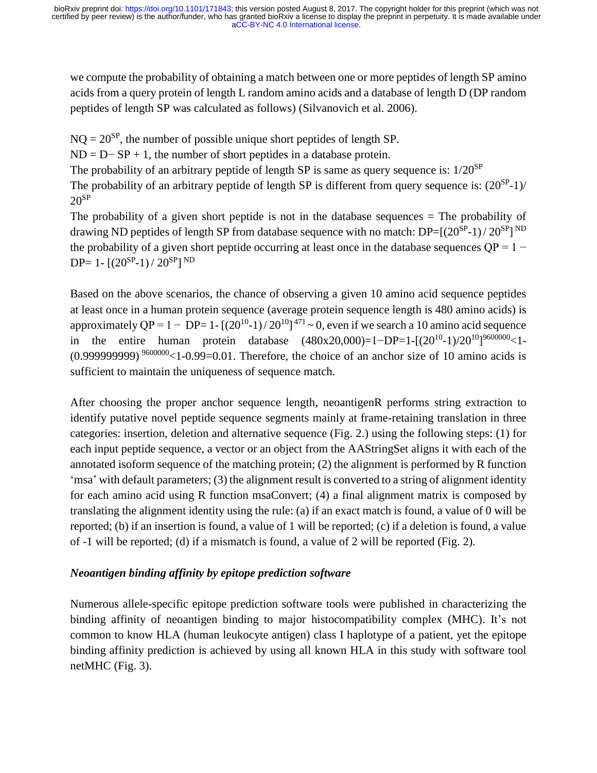we compute the probability of obtaining a match between one or more peptides of length SP amino acids from a query protein of length L random amino acids and a database of length D (DP random peptides of length SP was calculated as follows) (Silvanovich et al. 2006).

 $NO = 20^{SP}$ , the number of possible unique short peptides of length SP.

 $ND = D-SP + 1$ , the number of short peptides in a database protein.

The probability of an arbitrary peptide of length SP is same as query sequence is:  $1/20^{SP}$ 

The probability of an arbitrary peptide of length SP is different from query sequence is:  $(20^{SP}-1)$ /  $20^{SP}$ 

The probability of a given short peptide is not in the database sequences = The probability of drawing ND peptides of length SP from database sequence with no match:  $DP=[(20^{SP}-1)/20^{SP}]^{ND}$ the probability of a given short peptide occurring at least once in the database sequences  $OP = 1 DP= 1 - [(20^{SP}-1) / 20^{SP}]^{ND}$ 

Based on the above scenarios, the chance of observing a given 10 amino acid sequence peptides at least once in a human protein sequence (average protein sequence length is 480 amino acids) is approximately QP =  $1 - DP = 1 - [(20^{10}-1)/20^{10}]^{471} \sim 0$ , even if we search a 10 amino acid sequence in the entire human protein database  $(480x20,000)=1-DP=1-[(20<sup>10</sup>-1)/20<sup>10</sup>]^{9600000}<1 (0.99999999)$ <sup>9600000</sup><1-0.99=0.01. Therefore, the choice of an anchor size of 10 amino acids is sufficient to maintain the uniqueness of sequence match.

After choosing the proper anchor sequence length, neoantigenR performs string extraction to identify putative novel peptide sequence segments mainly at frame-retaining translation in three categories: insertion, deletion and alternative sequence (Fig. 2.) using the following steps: (1) for each input peptide sequence, a vector or an object from the AAStringSet aligns it with each of the annotated isoform sequence of the matching protein; (2) the alignment is performed by R function 'msa' with default parameters; (3) the alignment result is converted to a string of alignment identity for each amino acid using R function msaConvert; (4) a final alignment matrix is composed by translating the alignment identity using the rule: (a) if an exact match is found, a value of 0 will be reported; (b) if an insertion is found, a value of 1 will be reported; (c) if a deletion is found, a value of -1 will be reported; (d) if a mismatch is found, a value of 2 will be reported (Fig. 2).

# *Neoantigen binding affinity by epitope prediction software*

Numerous allele-specific epitope prediction software tools were published in characterizing the binding affinity of neoantigen binding to major histocompatibility complex (MHC). It's not common to know HLA (human leukocyte antigen) class I haplotype of a patient, yet the epitope binding affinity prediction is achieved by using all known HLA in this study with software tool netMHC (Fig. 3).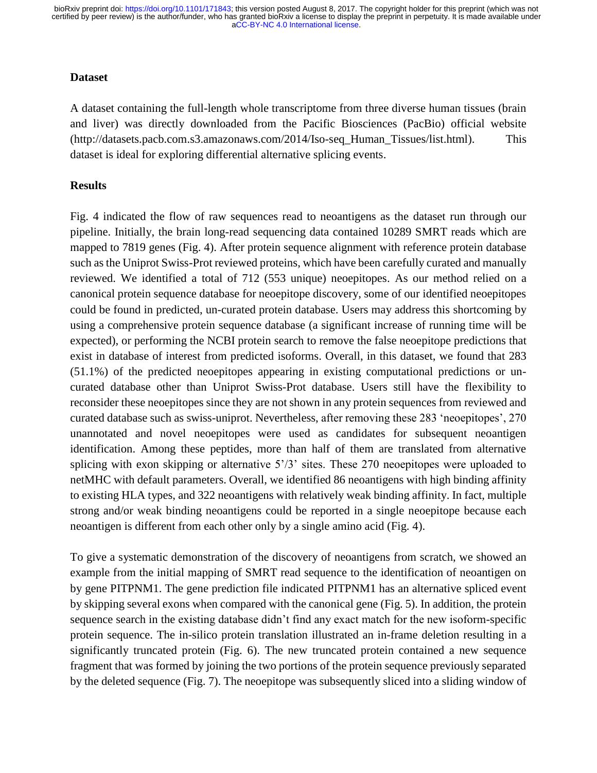[aCC-BY-NC 4.0 International license.](http://creativecommons.org/licenses/by-nc/4.0/) certified by peer review) is the author/funder, who has granted bioRxiv a license to display the preprint in perpetuity. It is made available under bioRxiv preprint doi: [https://doi.org/10.1101/171843;](https://doi.org/10.1101/171843) this version posted August 8, 2017. The copyright holder for this preprint (which was not

#### **Dataset**

A dataset containing the full-length whole transcriptome from three diverse human tissues (brain and liver) was directly downloaded from the Pacific Biosciences (PacBio) official website (http://datasets.pacb.com.s3.amazonaws.com/2014/Iso-seq\_Human\_Tissues/list.html). This dataset is ideal for exploring differential alternative splicing events.

#### **Results**

Fig. 4 indicated the flow of raw sequences read to neoantigens as the dataset run through our pipeline. Initially, the brain long-read sequencing data contained 10289 SMRT reads which are mapped to 7819 genes (Fig. 4). After protein sequence alignment with reference protein database such as the Uniprot Swiss-Prot reviewed proteins, which have been carefully curated and manually reviewed. We identified a total of 712 (553 unique) neoepitopes. As our method relied on a canonical protein sequence database for neoepitope discovery, some of our identified neoepitopes could be found in predicted, un-curated protein database. Users may address this shortcoming by using a comprehensive protein sequence database (a significant increase of running time will be expected), or performing the NCBI protein search to remove the false neoepitope predictions that exist in database of interest from predicted isoforms. Overall, in this dataset, we found that 283 (51.1%) of the predicted neoepitopes appearing in existing computational predictions or uncurated database other than Uniprot Swiss-Prot database. Users still have the flexibility to reconsider these neoepitopes since they are not shown in any protein sequences from reviewed and curated database such as swiss-uniprot. Nevertheless, after removing these 283 'neoepitopes', 270 unannotated and novel neoepitopes were used as candidates for subsequent neoantigen identification. Among these peptides, more than half of them are translated from alternative splicing with exon skipping or alternative 5'/3' sites. These 270 neoepitopes were uploaded to netMHC with default parameters. Overall, we identified 86 neoantigens with high binding affinity to existing HLA types, and 322 neoantigens with relatively weak binding affinity. In fact, multiple strong and/or weak binding neoantigens could be reported in a single neoepitope because each neoantigen is different from each other only by a single amino acid (Fig. 4).

To give a systematic demonstration of the discovery of neoantigens from scratch, we showed an example from the initial mapping of SMRT read sequence to the identification of neoantigen on by gene PITPNM1. The gene prediction file indicated PITPNM1 has an alternative spliced event by skipping several exons when compared with the canonical gene (Fig. 5). In addition, the protein sequence search in the existing database didn't find any exact match for the new isoform-specific protein sequence. The in-silico protein translation illustrated an in-frame deletion resulting in a significantly truncated protein (Fig. 6). The new truncated protein contained a new sequence fragment that was formed by joining the two portions of the protein sequence previously separated by the deleted sequence (Fig. 7). The neoepitope was subsequently sliced into a sliding window of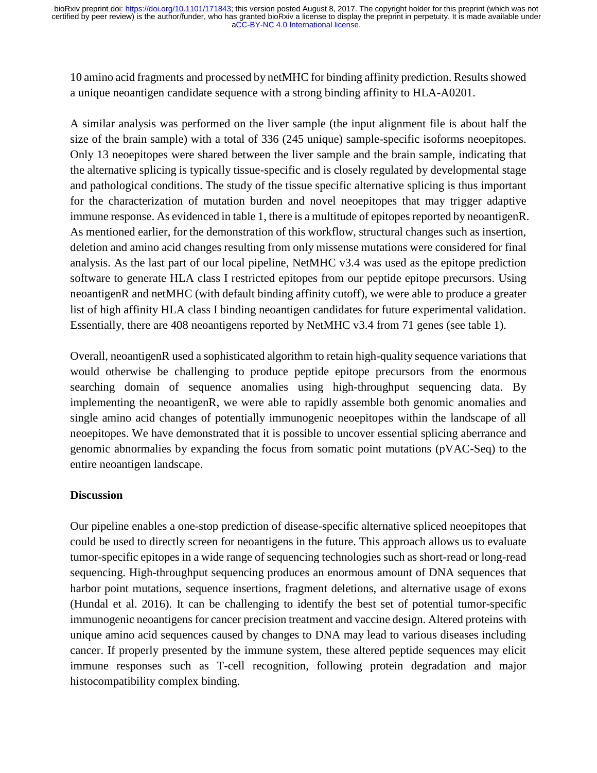10 amino acid fragments and processed by netMHC for binding affinity prediction. Results showed a unique neoantigen candidate sequence with a strong binding affinity to HLA-A0201.

A similar analysis was performed on the liver sample (the input alignment file is about half the size of the brain sample) with a total of 336 (245 unique) sample-specific isoforms neoepitopes. Only 13 neoepitopes were shared between the liver sample and the brain sample, indicating that the alternative splicing is typically tissue-specific and is closely regulated by developmental stage and pathological conditions. The study of the tissue specific alternative splicing is thus important for the characterization of mutation burden and novel neoepitopes that may trigger adaptive immune response. As evidenced in table 1, there is a multitude of epitopes reported by neoantigenR. As mentioned earlier, for the demonstration of this workflow, structural changes such as insertion, deletion and amino acid changes resulting from only missense mutations were considered for final analysis. As the last part of our local pipeline, NetMHC v3.4 was used as the epitope prediction software to generate HLA class I restricted epitopes from our peptide epitope precursors. Using neoantigenR and netMHC (with default binding affinity cutoff), we were able to produce a greater list of high affinity HLA class I binding neoantigen candidates for future experimental validation. Essentially, there are 408 neoantigens reported by NetMHC v3.4 from 71 genes (see table 1).

Overall, neoantigenR used a sophisticated algorithm to retain high-quality sequence variations that would otherwise be challenging to produce peptide epitope precursors from the enormous searching domain of sequence anomalies using high-throughput sequencing data. By implementing the neoantigenR, we were able to rapidly assemble both genomic anomalies and single amino acid changes of potentially immunogenic neoepitopes within the landscape of all neoepitopes. We have demonstrated that it is possible to uncover essential splicing aberrance and genomic abnormalies by expanding the focus from somatic point mutations (pVAC-Seq) to the entire neoantigen landscape.

## **Discussion**

Our pipeline enables a one-stop prediction of disease-specific alternative spliced neoepitopes that could be used to directly screen for neoantigens in the future. This approach allows us to evaluate tumor-specific epitopes in a wide range of sequencing technologies such as short-read or long-read sequencing. High-throughput sequencing produces an enormous amount of DNA sequences that harbor point mutations, sequence insertions, fragment deletions, and alternative usage of exons (Hundal et al. 2016). It can be challenging to identify the best set of potential tumor-specific immunogenic neoantigens for cancer precision treatment and vaccine design. Altered proteins with unique amino acid sequences caused by changes to DNA may lead to various diseases including cancer. If properly presented by the immune system, these altered peptide sequences may elicit immune responses such as T-cell recognition, following protein degradation and major histocompatibility complex binding.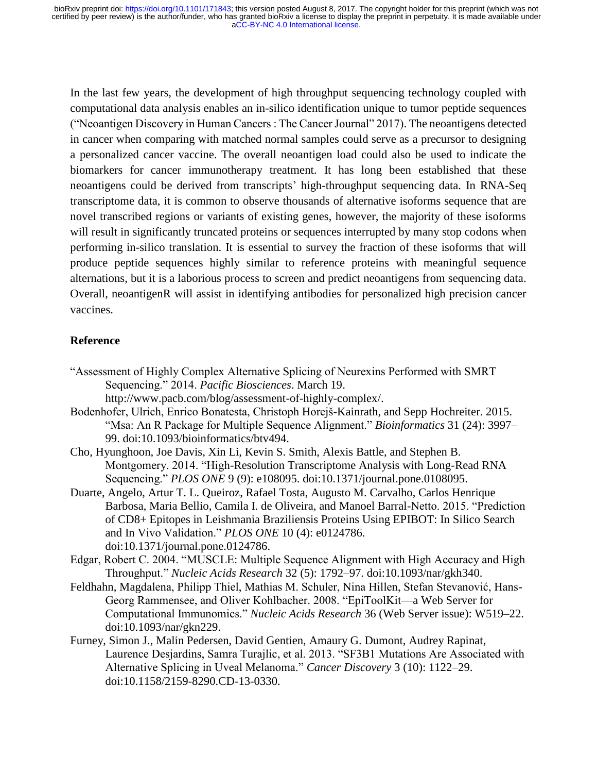In the last few years, the development of high throughput sequencing technology coupled with computational data analysis enables an in-silico identification unique to tumor peptide sequences ("Neoantigen Discovery in Human Cancers : The Cancer Journal" 2017). The neoantigens detected in cancer when comparing with matched normal samples could serve as a precursor to designing a personalized cancer vaccine. The overall neoantigen load could also be used to indicate the biomarkers for cancer immunotherapy treatment. It has long been established that these neoantigens could be derived from transcripts' high-throughput sequencing data. In RNA-Seq transcriptome data, it is common to observe thousands of alternative isoforms sequence that are novel transcribed regions or variants of existing genes, however, the majority of these isoforms will result in significantly truncated proteins or sequences interrupted by many stop codons when performing in-silico translation. It is essential to survey the fraction of these isoforms that will produce peptide sequences highly similar to reference proteins with meaningful sequence alternations, but it is a laborious process to screen and predict neoantigens from sequencing data. Overall, neoantigenR will assist in identifying antibodies for personalized high precision cancer vaccines.

## **Reference**

- "Assessment of Highly Complex Alternative Splicing of Neurexins Performed with SMRT Sequencing." 2014. *Pacific Biosciences*. March 19. http://www.pacb.com/blog/assessment-of-highly-complex/.
- Bodenhofer, Ulrich, Enrico Bonatesta, Christoph Horejš-Kainrath, and Sepp Hochreiter. 2015. "Msa: An R Package for Multiple Sequence Alignment." *Bioinformatics* 31 (24): 3997– 99. doi:10.1093/bioinformatics/btv494.
- Cho, Hyunghoon, Joe Davis, Xin Li, Kevin S. Smith, Alexis Battle, and Stephen B. Montgomery. 2014. "High-Resolution Transcriptome Analysis with Long-Read RNA Sequencing." *PLOS ONE* 9 (9): e108095. doi:10.1371/journal.pone.0108095.
- Duarte, Angelo, Artur T. L. Queiroz, Rafael Tosta, Augusto M. Carvalho, Carlos Henrique Barbosa, Maria Bellio, Camila I. de Oliveira, and Manoel Barral-Netto. 2015. "Prediction of CD8+ Epitopes in Leishmania Braziliensis Proteins Using EPIBOT: In Silico Search and In Vivo Validation." *PLOS ONE* 10 (4): e0124786. doi:10.1371/journal.pone.0124786.
- Edgar, Robert C. 2004. "MUSCLE: Multiple Sequence Alignment with High Accuracy and High Throughput." *Nucleic Acids Research* 32 (5): 1792–97. doi:10.1093/nar/gkh340.
- Feldhahn, Magdalena, Philipp Thiel, Mathias M. Schuler, Nina Hillen, Stefan Stevanović, Hans-Georg Rammensee, and Oliver Kohlbacher. 2008. "EpiToolKit—a Web Server for Computational Immunomics." *Nucleic Acids Research* 36 (Web Server issue): W519–22. doi:10.1093/nar/gkn229.
- Furney, Simon J., Malin Pedersen, David Gentien, Amaury G. Dumont, Audrey Rapinat, Laurence Desjardins, Samra Turajlic, et al. 2013. "SF3B1 Mutations Are Associated with Alternative Splicing in Uveal Melanoma." *Cancer Discovery* 3 (10): 1122–29. doi:10.1158/2159-8290.CD-13-0330.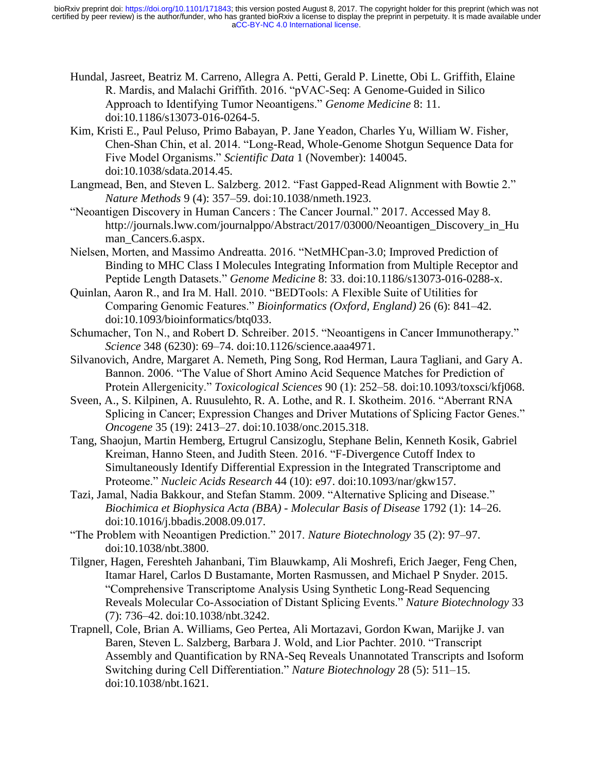- Hundal, Jasreet, Beatriz M. Carreno, Allegra A. Petti, Gerald P. Linette, Obi L. Griffith, Elaine R. Mardis, and Malachi Griffith. 2016. "pVAC-Seq: A Genome-Guided in Silico Approach to Identifying Tumor Neoantigens." *Genome Medicine* 8: 11. doi:10.1186/s13073-016-0264-5.
- Kim, Kristi E., Paul Peluso, Primo Babayan, P. Jane Yeadon, Charles Yu, William W. Fisher, Chen-Shan Chin, et al. 2014. "Long-Read, Whole-Genome Shotgun Sequence Data for Five Model Organisms." *Scientific Data* 1 (November): 140045. doi:10.1038/sdata.2014.45.
- Langmead, Ben, and Steven L. Salzberg. 2012. "Fast Gapped-Read Alignment with Bowtie 2." *Nature Methods* 9 (4): 357–59. doi:10.1038/nmeth.1923.
- "Neoantigen Discovery in Human Cancers : The Cancer Journal." 2017. Accessed May 8. http://journals.lww.com/journalppo/Abstract/2017/03000/Neoantigen\_Discovery\_in\_Hu man Cancers.6.aspx.
- Nielsen, Morten, and Massimo Andreatta. 2016. "NetMHCpan-3.0; Improved Prediction of Binding to MHC Class I Molecules Integrating Information from Multiple Receptor and Peptide Length Datasets." *Genome Medicine* 8: 33. doi:10.1186/s13073-016-0288-x.
- Quinlan, Aaron R., and Ira M. Hall. 2010. "BEDTools: A Flexible Suite of Utilities for Comparing Genomic Features." *Bioinformatics (Oxford, England)* 26 (6): 841–42. doi:10.1093/bioinformatics/btq033.
- Schumacher, Ton N., and Robert D. Schreiber. 2015. "Neoantigens in Cancer Immunotherapy." *Science* 348 (6230): 69–74. doi:10.1126/science.aaa4971.
- Silvanovich, Andre, Margaret A. Nemeth, Ping Song, Rod Herman, Laura Tagliani, and Gary A. Bannon. 2006. "The Value of Short Amino Acid Sequence Matches for Prediction of Protein Allergenicity." *Toxicological Sciences* 90 (1): 252–58. doi:10.1093/toxsci/kfj068.
- Sveen, A., S. Kilpinen, A. Ruusulehto, R. A. Lothe, and R. I. Skotheim. 2016. "Aberrant RNA Splicing in Cancer; Expression Changes and Driver Mutations of Splicing Factor Genes." *Oncogene* 35 (19): 2413–27. doi:10.1038/onc.2015.318.
- Tang, Shaojun, Martin Hemberg, Ertugrul Cansizoglu, Stephane Belin, Kenneth Kosik, Gabriel Kreiman, Hanno Steen, and Judith Steen. 2016. "F-Divergence Cutoff Index to Simultaneously Identify Differential Expression in the Integrated Transcriptome and Proteome." *Nucleic Acids Research* 44 (10): e97. doi:10.1093/nar/gkw157.
- Tazi, Jamal, Nadia Bakkour, and Stefan Stamm. 2009. "Alternative Splicing and Disease." *Biochimica et Biophysica Acta (BBA) - Molecular Basis of Disease* 1792 (1): 14–26. doi:10.1016/j.bbadis.2008.09.017.
- "The Problem with Neoantigen Prediction." 2017. *Nature Biotechnology* 35 (2): 97–97. doi:10.1038/nbt.3800.
- Tilgner, Hagen, Fereshteh Jahanbani, Tim Blauwkamp, Ali Moshrefi, Erich Jaeger, Feng Chen, Itamar Harel, Carlos D Bustamante, Morten Rasmussen, and Michael P Snyder. 2015. "Comprehensive Transcriptome Analysis Using Synthetic Long-Read Sequencing Reveals Molecular Co-Association of Distant Splicing Events." *Nature Biotechnology* 33 (7): 736–42. doi:10.1038/nbt.3242.
- Trapnell, Cole, Brian A. Williams, Geo Pertea, Ali Mortazavi, Gordon Kwan, Marijke J. van Baren, Steven L. Salzberg, Barbara J. Wold, and Lior Pachter. 2010. "Transcript Assembly and Quantification by RNA-Seq Reveals Unannotated Transcripts and Isoform Switching during Cell Differentiation." *Nature Biotechnology* 28 (5): 511–15. doi:10.1038/nbt.1621.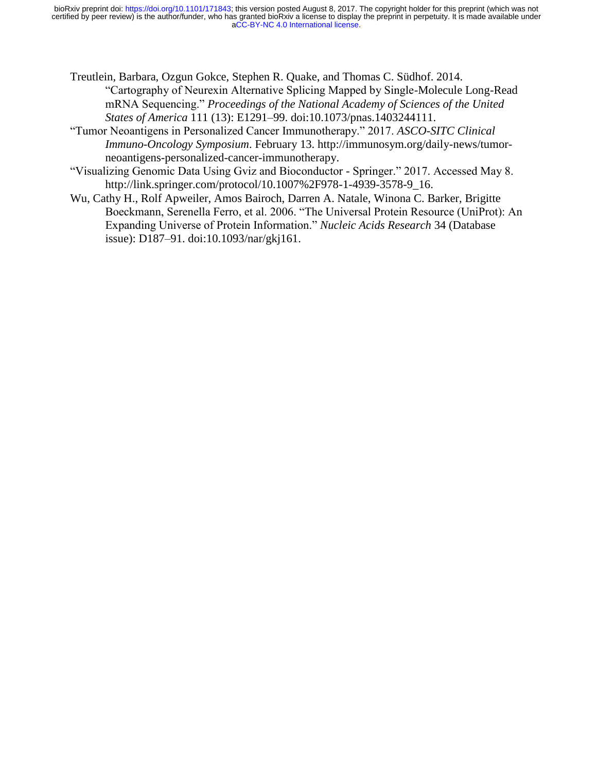[aCC-BY-NC 4.0 International license.](http://creativecommons.org/licenses/by-nc/4.0/) certified by peer review) is the author/funder, who has granted bioRxiv a license to display the preprint in perpetuity. It is made available under bioRxiv preprint doi: [https://doi.org/10.1101/171843;](https://doi.org/10.1101/171843) this version posted August 8, 2017. The copyright holder for this preprint (which was not

- Treutlein, Barbara, Ozgun Gokce, Stephen R. Quake, and Thomas C. Südhof. 2014. "Cartography of Neurexin Alternative Splicing Mapped by Single-Molecule Long-Read mRNA Sequencing." *Proceedings of the National Academy of Sciences of the United States of America* 111 (13): E1291–99. doi:10.1073/pnas.1403244111.
- "Tumor Neoantigens in Personalized Cancer Immunotherapy." 2017. *ASCO-SITC Clinical Immuno-Oncology Symposium*. February 13. http://immunosym.org/daily-news/tumorneoantigens-personalized-cancer-immunotherapy.
- "Visualizing Genomic Data Using Gviz and Bioconductor Springer." 2017. Accessed May 8. http://link.springer.com/protocol/10.1007%2F978-1-4939-3578-9\_16.
- Wu, Cathy H., Rolf Apweiler, Amos Bairoch, Darren A. Natale, Winona C. Barker, Brigitte Boeckmann, Serenella Ferro, et al. 2006. "The Universal Protein Resource (UniProt): An Expanding Universe of Protein Information." *Nucleic Acids Research* 34 (Database issue): D187–91. doi:10.1093/nar/gkj161.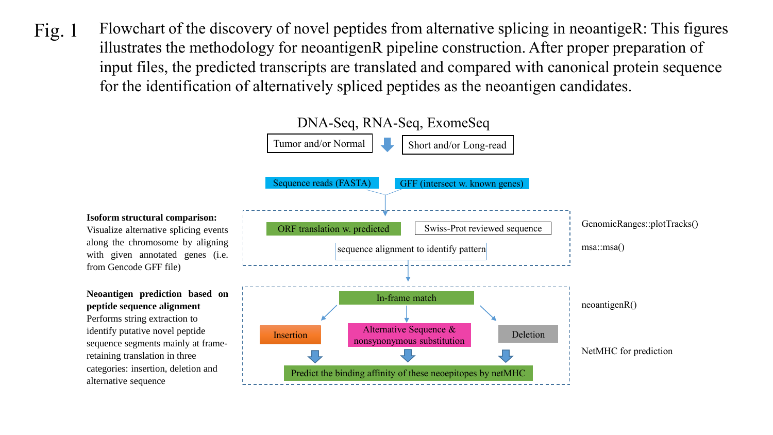Fig. 1 Flowchart of the discovery of novel peptides from alternative splicing in neoantigeR: This figures illustrates the methodology for neoantigenR pipeline construction. After proper preparation of input files, the predicted transcripts are translated and compared with canonical protein sequence for the identification of alternatively spliced peptides as the neoantigen candidates.



#### **Isoform structural comparison:**

Visualize alternative splicing events along the chromosome by aligning with given annotated genes (i.e. from Gencode GFF file)

**Neoantigen prediction based on peptide sequence alignment** Performs string extraction to identify putative novel peptide sequence segments mainly at frameretaining translation in three categories: insertion, deletion and alternative sequence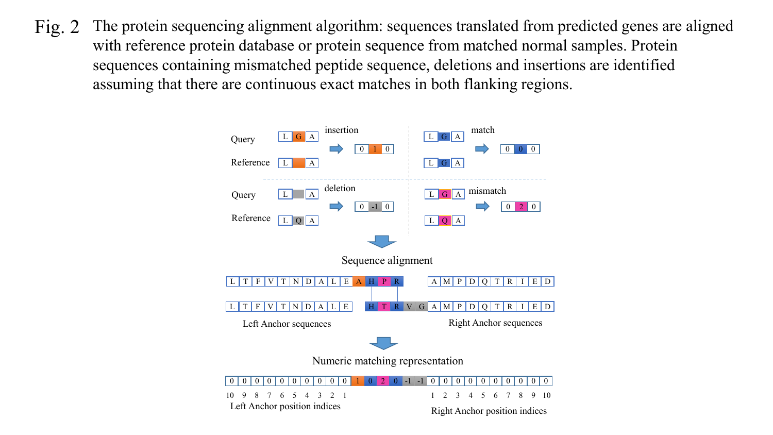The protein sequencing alignment algorithm: sequences translated from predicted genes are aligned with reference protein database or protein sequence from matched normal samples. Protein sequences containing mismatched peptide sequence, deletions and insertions are identified assuming that there are continuous exact matches in both flanking regions. Fig. 2

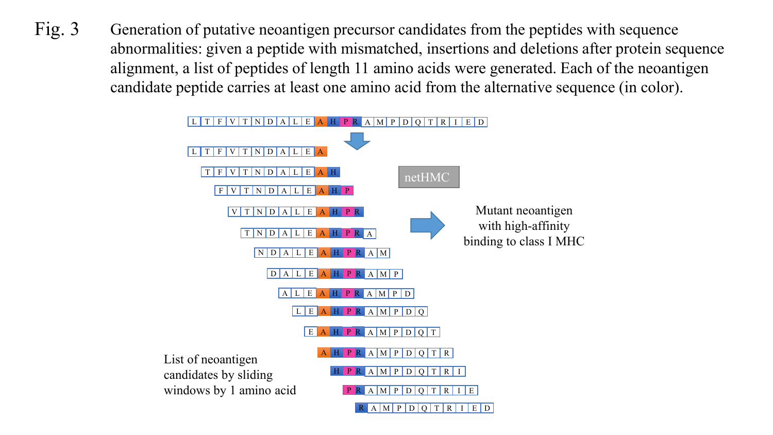Generation of putative neoantigen precursor candidates from the peptides with sequence abnormalities: given a peptide with mismatched, insertions and deletions after protein sequence alignment, a list of peptides of length 11 amino acids were generated. Each of the neoantigen candidate peptide carries at least one amino acid from the alternative sequence (in color). Fig. 3

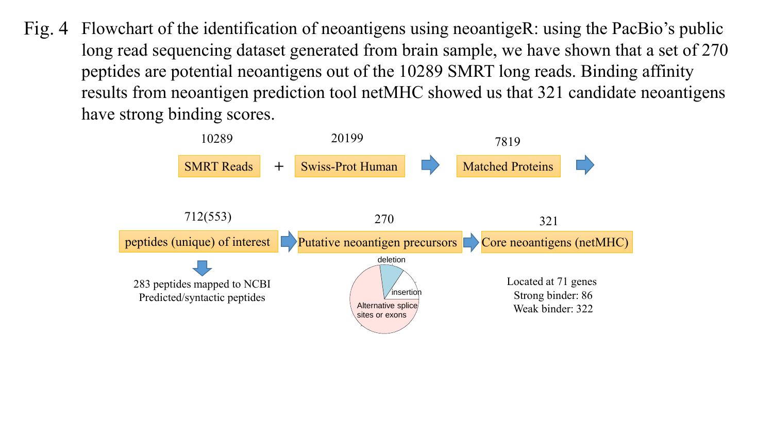Flowchart of the identification of neoantigens using neoantigeR: using the PacBio's public long read sequencing dataset generated from brain sample, we have shown that a set of 270 peptides are potential neoantigens out of the 10289 SMRT long reads. Binding affinity results from neoantigen prediction tool netMHC showed us that 321 candidate neoantigens have strong binding scores. Fig.  $4$ 

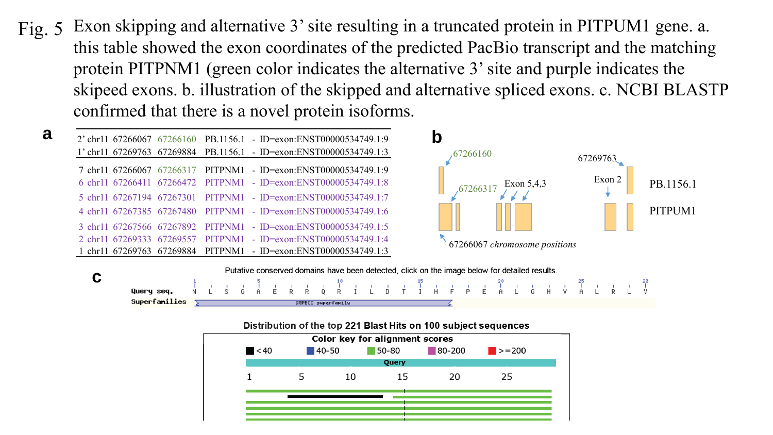Exon skipping and alternative 3' site resulting in a truncated protein in PITPUM1 gene. a. this table showed the exon coordinates of the predicted PacBio transcript and the matching protein PITPNM1 (green color indicates the alternative 3' site and purple indicates the skipeed exons. b. illustration of the skipped and alternative spliced exons. c. NCBI BLASTP confirmed that there is a novel protein isoforms. Fig. 5







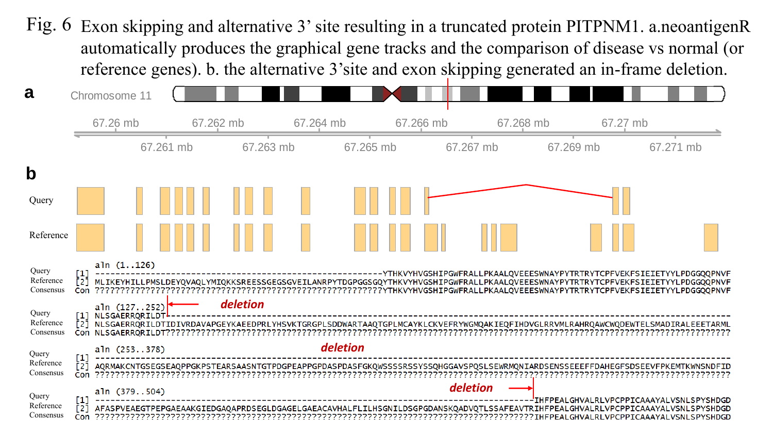Fig. 6 Exon skipping and alternative 3' site resulting in a truncated protein PITPNM1. a.neoantigenR automatically produces the graphical gene tracks and the comparison of disease vs normal (or reference genes). b. the alternative 3'site and exon skipping generated an in-frame deletion.

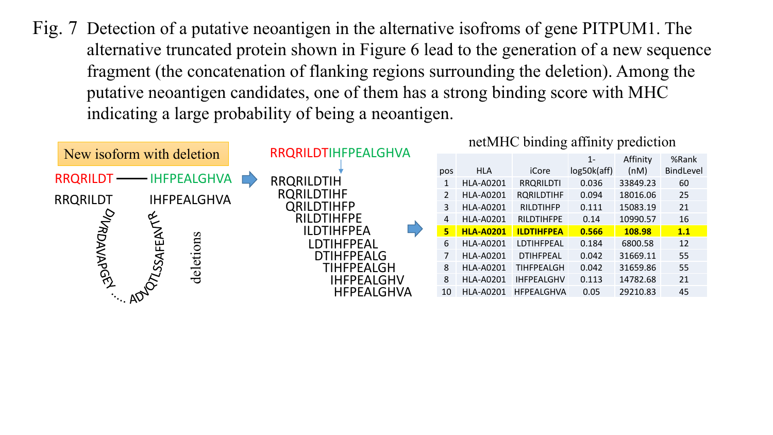Fig. 7 Detection of a putative neoantigen in the alternative isofroms of gene PITPUM1. The alternative truncated protein shown in Figure 6 lead to the generation of a new sequence fragment (the concatenation of flanking regions surrounding the deletion). Among the putative neoantigen candidates, one of them has a strong binding score with MHC indicating a large probability of being a neoantigen.

| New isoform with deletion |     |                    | RRQRILDTIHFPEALGHVA |                   |                   | netMHC binding affinity prediction |                  |                   |             |          |           |  |
|---------------------------|-----|--------------------|---------------------|-------------------|-------------------|------------------------------------|------------------|-------------------|-------------|----------|-----------|--|
|                           |     |                    |                     |                   |                   |                                    |                  | $1 -$             | Affinity    | %Rank    |           |  |
|                           |     |                    |                     |                   |                   | pos                                | <b>HLA</b>       | iCore             | log50k(aff) | (nM)     | BindLevel |  |
| RRQRILDT - IHFPEALGHVA    |     |                    |                     | <b>RRQRILDTIH</b> |                   |                                    | <b>HLA-A0201</b> | <b>RRQRILDTI</b>  | 0.036       | 33849.23 | 60        |  |
| <b>RRQRILDT</b>           |     | <b>IHFPEALGHVA</b> |                     | <b>RQRILDTIHF</b> |                   | 2                                  | <b>HLA-A0201</b> | <b>RQRILDTIHF</b> | 0.094       | 18016.06 | 25        |  |
|                           |     |                    |                     | <b>QRILDTIHFP</b> |                   | 3                                  | <b>HLA-A0201</b> | <b>RILDTIHFP</b>  | 0.111       | 15083.19 | 21        |  |
|                           | ⇙   |                    |                     | <b>RILDTIHFPE</b> |                   | 4                                  | <b>HLA-A0201</b> | <b>RILDTIHFPE</b> | 0.14        | 10990.57 | 16        |  |
| <b>PIVRDAVAPGE</b>        |     |                    |                     | <b>ILDTIHFPEA</b> |                   | 5                                  | <b>HLA-A0201</b> | <b>ILDTIHFPEA</b> | 0.566       | 108.98   | 1.1       |  |
|                           | ய   | deletions          |                     | <b>LDTIHFPEAL</b> |                   | 6                                  | <b>HLA-A0201</b> | LDTIHFPEAL        | 0.184       | 6800.58  | 12        |  |
|                           |     |                    |                     | <b>DTIHFPEALG</b> |                   |                                    | <b>HLA-A0201</b> | <b>DTIHFPEAL</b>  | 0.042       | 31669.11 | 55        |  |
|                           | SSA |                    |                     | <b>TIHFPEALGH</b> |                   | 8                                  | <b>HLA-A0201</b> | <b>TIHFPEALGH</b> | 0.042       | 31659.86 | 55        |  |
|                           |     |                    |                     |                   | <b>IHFPEALGHV</b> | 8                                  | <b>HLA-A0201</b> | <b>IHFPEALGHV</b> | 0.113       | 14782.68 | 21        |  |
| ADVE                      |     |                    |                     |                   | <b>HFPEALGHVA</b> | 10                                 | <b>HLA-A0201</b> | <b>HFPEALGHVA</b> | 0.05        | 29210.83 | 45        |  |
|                           |     |                    |                     |                   |                   |                                    |                  |                   |             |          |           |  |